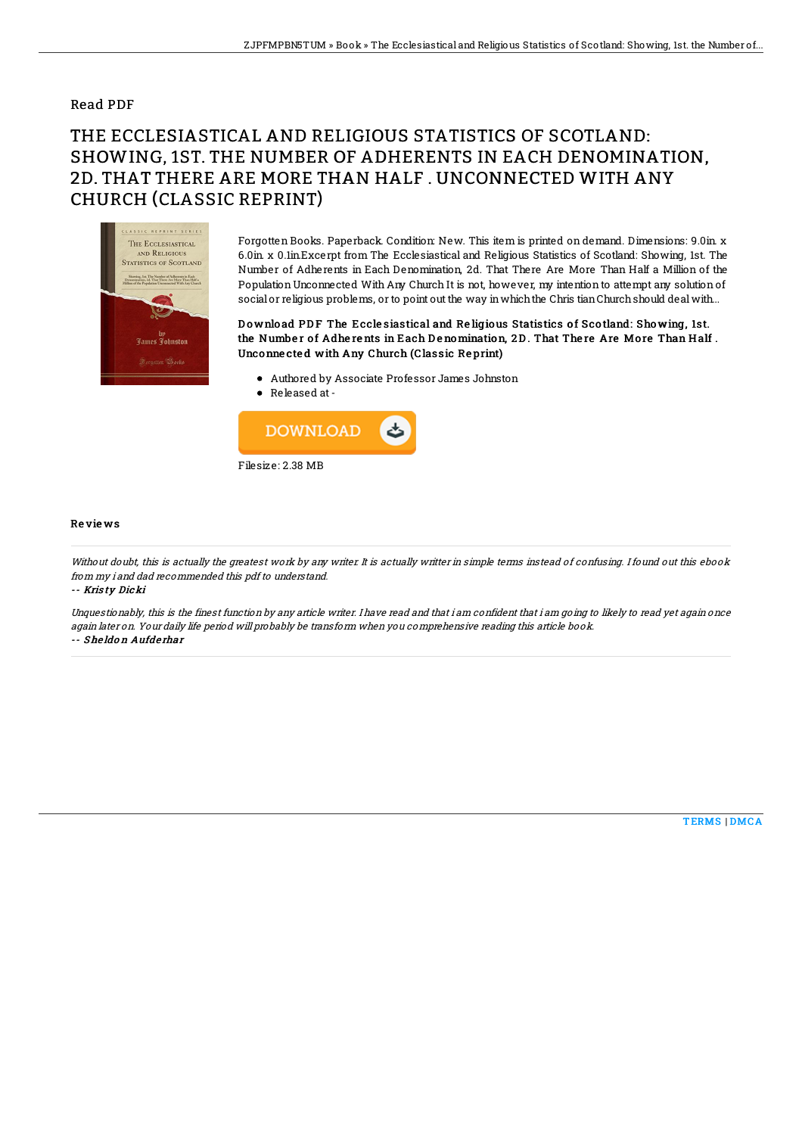### Read PDF

# THE ECCLESIASTICAL AND RELIGIOUS STATISTICS OF SCOTLAND: SHOWING, 1ST. THE NUMBER OF ADHERENTS IN EACH DENOMINATION, 2D. THAT THERE ARE MORE THAN HALF . UNCONNECTED WITH ANY CHURCH (CLASSIC REPRINT)



Forgotten Books. Paperback. Condition: New. This item is printed on demand. Dimensions: 9.0in. x 6.0in. x 0.1in.Excerpt from The Ecclesiastical and Religious Statistics of Scotland: Showing, 1st. The Number of Adherents in Each Denomination, 2d. That There Are More Than Half a Million of the Population Unconnected With Any Church It is not, however, my intention to attempt any solution of social or religious problems, or to point out the way in which the Chris tian Church should deal with...

#### Download PDF The Ecclesiastical and Religious Statistics of Scotland: Showing, 1st. the Number of Adherents in Each Denomination, 2D. That There Are More Than Half. Unconne cte d with Any Church (Classic Re print)

- Authored by Associate Professor James Johnston
- Released at-



#### Re vie ws

Without doubt, this is actually the greatest work by any writer. It is actually writter in simple terms instead of confusing. I found out this ebook from my i and dad recommended this pdf to understand. -- Kris ty Dicki

Unquestionably, this is the finest function by any article writer. I have read and that i am confident that i am going to likely to read yet again once again later on. Your daily life period will probably be transform when you comprehensive reading this article book. -- She ldo <sup>n</sup> Aufde rhar